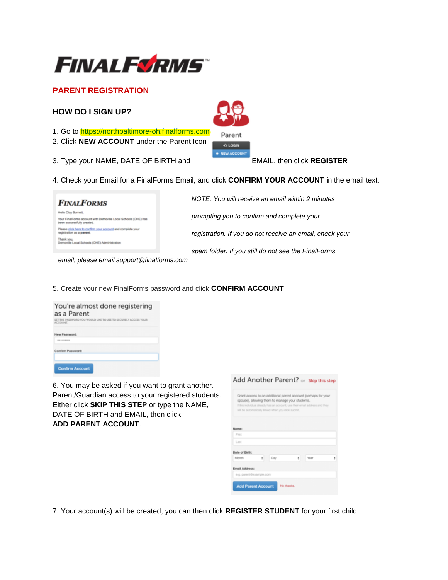

# **PARENT REGISTRATION**

## **HOW DO I SIGN UP?**

- 1. Go to [https://northbaltimore-oh.finalforms.com](https://northbaltimore-oh.finalforms.com/)
- 2. Click **NEW ACCOUNT** under the Parent Icon
- 3. Type your NAME, DATE OF BIRTH and EMAIL, then click **REGISTER**



4. Check your Email for a FinalForms Email, and click **CONFIRM YOUR ACCOUNT** in the email text.

Parent O LOGIN · NEW ACCOUNT

| <b>FINALFORMS</b>                                                                                                  | NOTE: You will receive an email within 2 minutes         |
|--------------------------------------------------------------------------------------------------------------------|----------------------------------------------------------|
| illo Clay Burnett.<br>Your FinalForms account with Demoville Local Schools (OHE) has<br>seen successfully created. | prompting you to confirm and complete your               |
| Please click here to confirm your account and complete your<br>jstration as a parent.                              | registration. If you do not receive an email, check your |
| Jemoville Local Schools (OHE) Administration                                                                       | spam folder. If you still do not see the FinalForms      |

 *email, please email support@finalforms.com*

5. Create your new FinalForms password and click **CONFIRM ACCOUNT** 

| You're almost done registering<br>as a Parent<br>SET THE PASSWORD YOU WOULD LIKE TO USE TO SECURELY ACCESS YOUR<br>ACCOUNT.                                                                                                                                       |  |  |
|-------------------------------------------------------------------------------------------------------------------------------------------------------------------------------------------------------------------------------------------------------------------|--|--|
| New Password:<br><b><i><u>A R R R R R R R PORT OF THE SAME REPORT OF THE ART REPORT OF THE ART REPORTED A REPORT OF THE ART REPORTED A REPORT OF THE ART REPORTED A REPORT OF THE ART REPORTED A REPORT OF THE ART REPORTED A REPORT OF THE ART REPOR</u></i></b> |  |  |
| Confirm Password:                                                                                                                                                                                                                                                 |  |  |
| <b>Confirm Account</b>                                                                                                                                                                                                                                            |  |  |

6. You may be asked if you want to grant another. Parent/Guardian access to your registered students. Either click **SKIP THIS STEP** or type the NAME, DATE OF BIRTH and EMAIL, then click **ADD PARENT ACCOUNT**.

|                |                         | Grant access to an additional parent account (perhaps for your<br>spouse), allowing them to manage your students.<br>If this individual already has an account, use their email address and they<br>will be automatically linked when you click submit. |   |      |  |
|----------------|-------------------------|---------------------------------------------------------------------------------------------------------------------------------------------------------------------------------------------------------------------------------------------------------|---|------|--|
| Name:          |                         |                                                                                                                                                                                                                                                         |   |      |  |
| First          |                         |                                                                                                                                                                                                                                                         |   |      |  |
| Last           |                         |                                                                                                                                                                                                                                                         |   |      |  |
| Date of Birth: |                         |                                                                                                                                                                                                                                                         |   |      |  |
| Month          | ÷                       | Day                                                                                                                                                                                                                                                     | ž | Year |  |
| Email Address: |                         |                                                                                                                                                                                                                                                         |   |      |  |
|                | e.g. parent@example.com |                                                                                                                                                                                                                                                         |   |      |  |

7. Your account(s) will be created, you can then click **REGISTER STUDENT** for your first child.